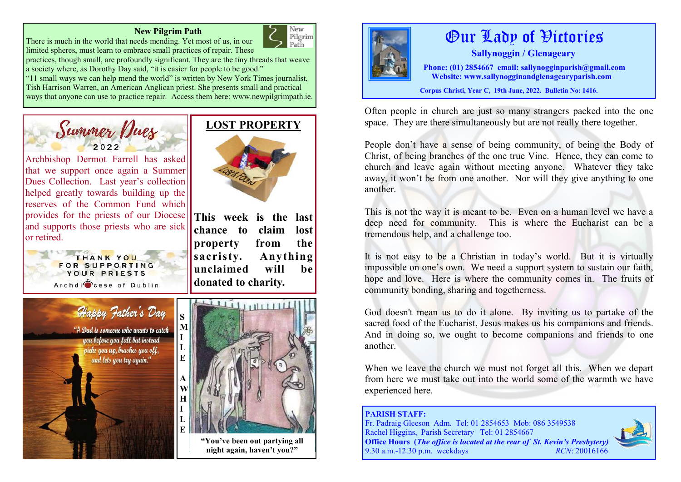#### **New Pilgrim Path**



There is much in the world that needs mending. Yet most of us, in our limited spheres, must learn to embrace small practices of repair. These

practices, though small, are profoundly significant. They are the tiny threads that weave a society where, as Dorothy Day said, "it is easier for people to be good."

"11 small ways we can help mend the world" is written by New York Times journalist, Tish Harrison Warren, an American Anglican priest. She presents small and practical ways that anyone can use to practice repair. Access them here: www.newpilgrimpath.ie.



**This week is the last**  Archbishop Dermot Farrell has asked that we support once again a Summer Dues Collection. Last year's collection helped greatly towards building up the reserves of the Common Fund which provides for the priests of our Diocese and supports those priests who are sick or retired.





# $1111$  $11111111$

**LOST PROPERTY**

**chance to claim lost property from the sacristy. Anything unclaimed will be** 

**donated to charity.** 

**"You've been out partying all night again, haven't you?"**



# Our Lady of Victories

 **Sallynoggin / Glenageary** 

 **Phone: (01) 2854667 email: sallynogginparish@gmail.com Website: www.sallynogginandglenagearyparish.com** 

**Corpus Christi, Year C, 19th June, 2022. Bulletin No: 1416.** 

Often people in church are just so many strangers packed into the one space. They are there simultaneously but are not really there together.

People don't have a sense of being community, of being the Body of Christ, of being branches of the one true Vine. Hence, they can come to church and leave again without meeting anyone. Whatever they take away, it won't be from one another. Nor will they give anything to one another.

This is not the way it is meant to be. Even on a human level we have a deep need for community. This is where the Eucharist can be a tremendous help, and a challenge too.

It is not easy to be a Christian in today's world. But it is virtually impossible on one's own. We need a support system to sustain our faith, hope and love. Here is where the community comes in. The fruits of community bonding, sharing and togetherness.

God doesn't mean us to do it alone. By inviting us to partake of the sacred food of the Eucharist, Jesus makes us his companions and friends. And in doing so, we ought to become companions and friends to one another.

When we leave the church we must not forget all this. When we depart from here we must take out into the world some of the warmth we have experienced here.

#### **PARISH STAFF:**  Fr. Padraig Gleeson Adm. Tel: 01 2854653 Mob: 086 3549538 Rachel Higgins, Parish Secretary Tel: 01 2854667 **Office Hours (***The office is located at the rear of St. Kevin's Presbytery)* 9.30 a.m.-12.30 p.m. weekdays *RCN*: 20016166